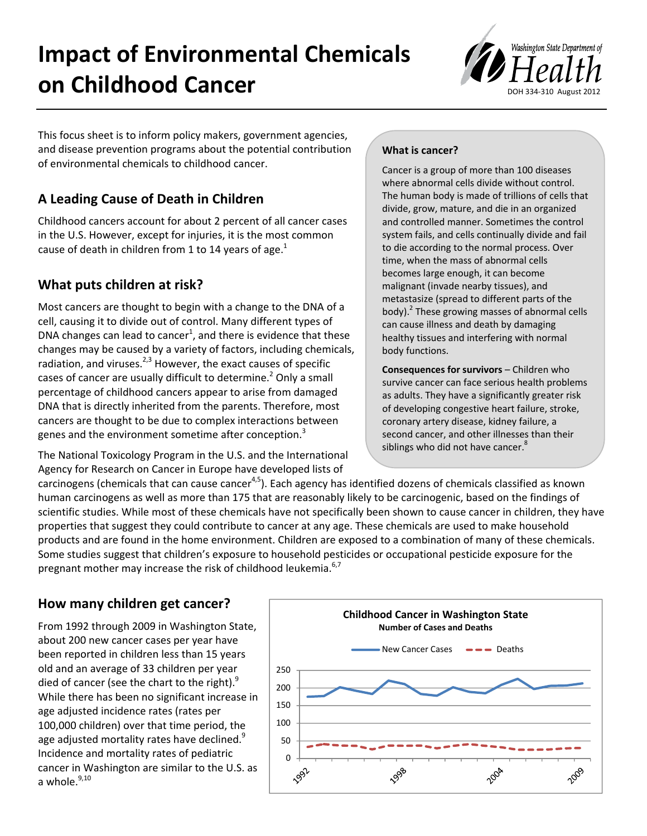# **Impact of Environmental Chemicals on Childhood Cancer**



This focus sheet is to inform policy makers, government agencies, and disease prevention programs about the potential contribution of environmental chemicals to childhood cancer.

# **A Leading Cause of Death in Children**

Childhood cancers account for about 2 percent of all cancer cases in the U.S. However, except for injuries, it is the most common cause of death in children from 1 to 14 years of age. $<sup>1</sup>$ </sup>

# **What puts children at risk?**

Most cancers are thought to begin with a change to the DNA of a cell, causing it to divide out of control. Many different types of DNA changes can lead to cancer<sup>1</sup>, and there is evidence that these changes may be caused by a variety of factors, including chemicals, radiation, and viruses. $2,3$  However, the exact causes of specific cases of cancer are usually difficult to determine.<sup>2</sup> Only a small percentage of childhood cancers appear to arise from damaged DNA that is directly inherited from the parents. Therefore, most cancers are thought to be due to complex interactions between genes and the environment sometime after conception.<sup>3</sup>

The National Toxicology Program in the U.S. and the International Agency for Research on Cancer in Europe have developed lists of

#### **What is cancer?**

Cancer is a group of more than 100 diseases where abnormal cells divide without control. The human body is made of trillions of cells that divide, grow, mature, and die in an organized and controlled manner. Sometimes the control system fails, and cells continually divide and fail to die according to the normal process. Over time, when the mass of abnormal cells becomes large enough, it can become malignant (invade nearby tissues), and metastasize (spread to different parts of the body).<sup>2</sup> These growing masses of abnormal cells can cause illness and death by damaging healthy tissues and interfering with normal body functions.

**Consequences for survivors** – Children who survive cancer can face serious health problems as adults. They have a significantly greater risk of developing congestive heart failure, stroke, coronary artery disease, kidney failure, a second cancer, and other illnesses than their siblings who did not have cancer.<sup>8</sup>

carcinogens (chemicals that can cause cancer<sup>4,5</sup>). Each agency has identified dozens of chemicals classified as known human carcinogens as well as more than 175 that are reasonably likely to be carcinogenic, based on the findings of scientific studies. While most of these chemicals have not specifically been shown to cause cancer in children, they have properties that suggest they could contribute to cancer at any age. These chemicals are used to make household products and are found in the home environment. Children are exposed to a combination of many of these chemicals. Some studies suggest that children's exposure to household pesticides or occupational pesticide exposure for the pregnant mother may increase the risk of childhood leukemia.<sup>6,7</sup>

# **How many children get cancer?**

From 1992 through 2009 in Washington State, about 200 new cancer cases per year have been reported in children less than 15 years old and an average of 33 children per year died of cancer (see the chart to the right). $9$ While there has been no significant increase in age adjusted incidence rates (rates per 100,000 children) over that time period, the age adjusted mortality rates have declined.<sup>9</sup> Incidence and mortality rates of pediatric cancer in Washington are similar to the U.S. as a whole. $9,10$